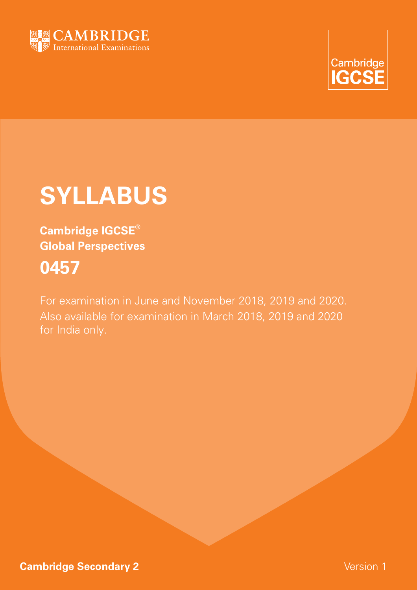



# **SYLLABUS**

**Cambridge IGCSE® Global Perspectives 0457**

For examination in June and November 2018, 2019 and 2020. Also available for examination in March 2018, 2019 and 2020 for India only.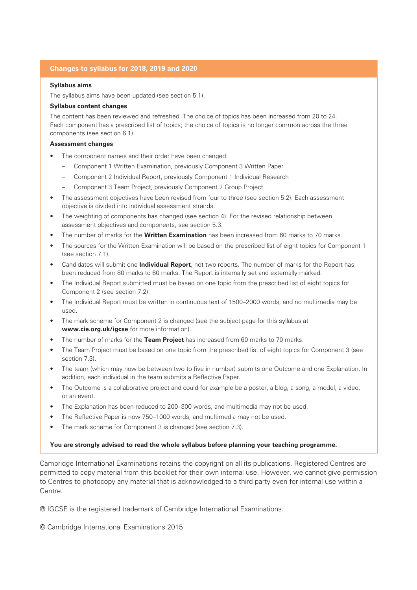### **Changes to syllabus for 2018, 2019 and 2020**

#### **Syllabus aims**

The syllabus aims have been updated (see section 5.1).

#### **Syllabus content changes**

The content has been reviewed and refreshed. The choice of topics has been increased from 20 to 24. Each component has a prescribed list of topics; the choice of topics is no longer common across the three components (see section 6.1).

#### **Assessment changes**

- The component names and their order have been changed:
	- Component 1 Written Examination, previously Component 3 Written Paper
	- Component 2 Individual Report, previously Component 1 Individual Research
	- Component 3 Team Project, previously Component 2 Group Project
- The assessment objectives have been revised from four to three (see section 5.2). Each assessment objective is divided into individual assessment strands.
- The weighting of components has changed (see section 4). For the revised relationship between assessment objectives and components, see section 5.3.
- The number of marks for the **Written Examination** has been increased from 60 marks to 70 marks.
- The sources for the Written Examination will be based on the prescribed list of eight topics for Component 1 (see section 7.1).
- Candidates will submit one **Individual Report**, not two reports. The number of marks for the Report has been reduced from 80 marks to 60 marks. The Report is internally set and externally marked.
- The Individual Report submitted must be based on one topic from the prescribed list of eight topics for Component 2 (see section 7.2).
- The Individual Report must be written in continuous text of 1500–2000 words, and no multimedia may be used.
- The mark scheme for Component 2 is changed (see the subject page for this syllabus at **www.cie.org.uk/igcse** for more information).
- The number of marks for the **Team Project** has increased from 60 marks to 70 marks.
- The Team Project must be based on one topic from the prescribed list of eight topics for Component 3 (see section 7.3).
- The team (which may now be between two to five in number) submits one Outcome and one Explanation. In addition, each individual in the team submits a Reflective Paper.
- The Outcome is a collaborative project and could for example be a poster, a blog, a song, a model, a video, or an event.
- The Explanation has been reduced to 200-300 words, and multimedia may not be used.
- The Reflective Paper is now 750–1000 words, and multimedia may not be used.
- The mark scheme for Component 3 is changed (see section 7.3).

#### **You are strongly advised to read the whole syllabus before planning your teaching programme.**

Cambridge International Examinations retains the copyright on all its publications. Registered Centres are permitted to copy material from this booklet for their own internal use. However, we cannot give permission to Centres to photocopy any material that is acknowledged to a third party even for internal use within a Centre.

® IGCSE is the registered trademark of Cambridge International Examinations.

© Cambridge International Examinations 2015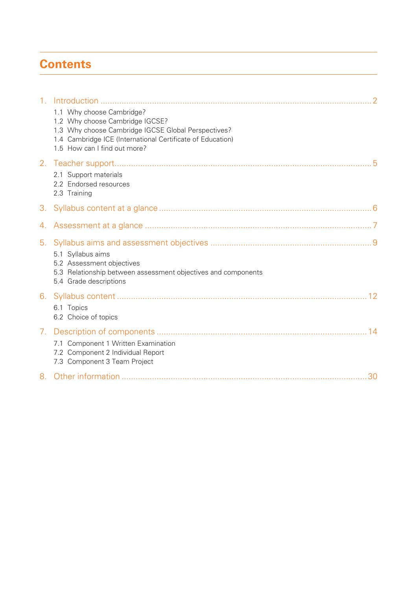## **Contents**

| 1 <sub>1</sub> |                                                                                                                                                                                                                   |
|----------------|-------------------------------------------------------------------------------------------------------------------------------------------------------------------------------------------------------------------|
|                | 1.1 Why choose Cambridge?<br>1.2 Why choose Cambridge IGCSE?<br>1.3 Why choose Cambridge IGCSE Global Perspectives?<br>1.4 Cambridge ICE (International Certificate of Education)<br>1.5 How can I find out more? |
|                | 2.1 Support materials<br>2.2 Endorsed resources<br>2.3 Training                                                                                                                                                   |
| 3.             |                                                                                                                                                                                                                   |
|                |                                                                                                                                                                                                                   |
| 5.             | 5.1 Syllabus aims<br>5.2 Assessment objectives<br>5.3 Relationship between assessment objectives and components<br>5.4 Grade descriptions                                                                         |
|                | 6.1 Topics<br>6.2 Choice of topics                                                                                                                                                                                |
| 7.             | 7.1 Component 1 Written Examination<br>7.2 Component 2 Individual Report<br>7.3 Component 3 Team Project                                                                                                          |
|                |                                                                                                                                                                                                                   |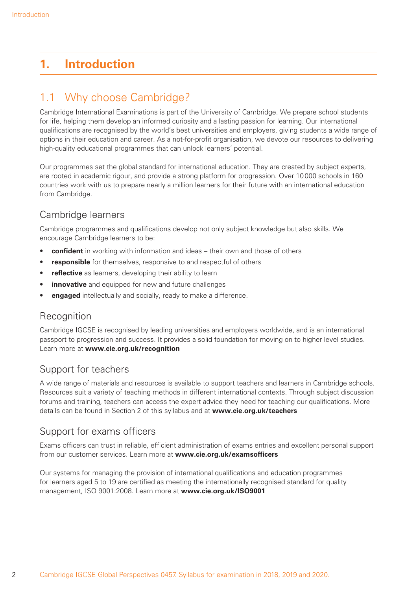## **1. Introduction**

## 1.1 Why choose Cambridge?

Cambridge International Examinations is part of the University of Cambridge. We prepare school students for life, helping them develop an informed curiosity and a lasting passion for learning. Our international qualifications are recognised by the world's best universities and employers, giving students a wide range of options in their education and career. As a not-for-profi t organisation, we devote our resources to delivering high-quality educational programmes that can unlock learners' potential.

Our programmes set the global standard for international education. They are created by subject experts, are rooted in academic rigour, and provide a strong platform for progression. Over 10 000 schools in 160 countries work with us to prepare nearly a million learners for their future with an international education from Cambridge.

## Cambridge learners

Cambridge programmes and qualifications develop not only subject knowledge but also skills. We encourage Cambridge learners to be:

- **confident** in working with information and ideas their own and those of others
- **responsible** for themselves, responsive to and respectful of others
- **reflective** as learners, developing their ability to learn
- **innovative** and equipped for new and future challenges
- **engaged** intellectually and socially, ready to make a difference.

## **Recognition**

Cambridge IGCSE is recognised by leading universities and employers worldwide, and is an international passport to progression and success. It provides a solid foundation for moving on to higher level studies. Learn more at **www.cie.org.uk/recognition**

## Support for teachers

A wide range of materials and resources is available to support teachers and learners in Cambridge schools. Resources suit a variety of teaching methods in different international contexts. Through subject discussion forums and training, teachers can access the expert advice they need for teaching our qualifications. More details can be found in Section 2 of this syllabus and at **www.cie.org.uk/teachers**

## Support for exams officers

Exams officers can trust in reliable, efficient administration of exams entries and excellent personal support from our customer services. Learn more at **www.cie.org.uk/examsofficers** 

Our systems for managing the provision of international qualifications and education programmes for learners aged 5 to 19 are certified as meeting the internationally recognised standard for quality management, ISO 9001:2008. Learn more at **www.cie.org.uk/ISO9001**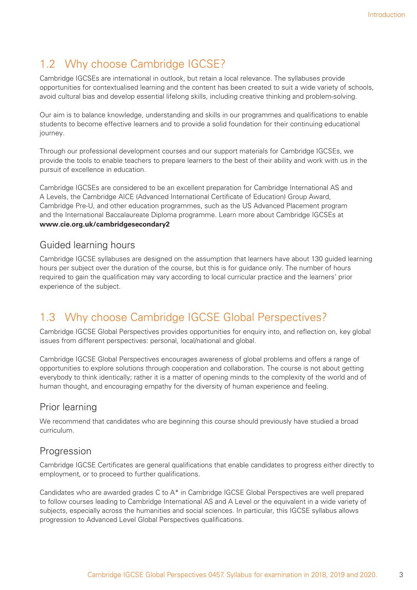## 1.2 Why choose Cambridge IGCSE?

Cambridge IGCSEs are international in outlook, but retain a local relevance. The syllabuses provide opportunities for contextualised learning and the content has been created to suit a wide variety of schools, avoid cultural bias and develop essential lifelong skills, including creative thinking and problem-solving.

Our aim is to balance knowledge, understanding and skills in our programmes and qualifications to enable students to become effective learners and to provide a solid foundation for their continuing educational journey.

Through our professional development courses and our support materials for Cambridge IGCSEs, we provide the tools to enable teachers to prepare learners to the best of their ability and work with us in the pursuit of excellence in education.

Cambridge IGCSEs are considered to be an excellent preparation for Cambridge International AS and A Levels, the Cambridge AICE (Advanced International Certificate of Education) Group Award, Cambridge Pre-U, and other education programmes, such as the US Advanced Placement program and the International Baccalaureate Diploma programme. Learn more about Cambridge IGCSEs at **www.cie.org.uk/cambridgesecondary2**

## Guided learning hours

Cambridge IGCSE syllabuses are designed on the assumption that learners have about 130 guided learning hours per subject over the duration of the course, but this is for guidance only. The number of hours required to gain the qualification may vary according to local curricular practice and the learners' prior experience of the subject.

## 1.3 Why choose Cambridge IGCSE Global Perspectives?

Cambridge IGCSE Global Perspectives provides opportunities for enquiry into, and reflection on, key global issues from different perspectives: personal, local/national and global.

Cambridge IGCSE Global Perspectives encourages awareness of global problems and offers a range of opportunities to explore solutions through cooperation and collaboration. The course is not about getting everybody to think identically; rather it is a matter of opening minds to the complexity of the world and of human thought, and encouraging empathy for the diversity of human experience and feeling.

## Prior learning

We recommend that candidates who are beginning this course should previously have studied a broad curriculum.

## Progression

Cambridge IGCSE Certificates are general qualifications that enable candidates to progress either directly to employment, or to proceed to further qualifications.

Candidates who are awarded grades C to A\* in Cambridge IGCSE Global Perspectives are well prepared to follow courses leading to Cambridge International AS and A Level or the equivalent in a wide variety of subjects, especially across the humanities and social sciences. In particular, this IGCSE syllabus allows progression to Advanced Level Global Perspectives qualifications.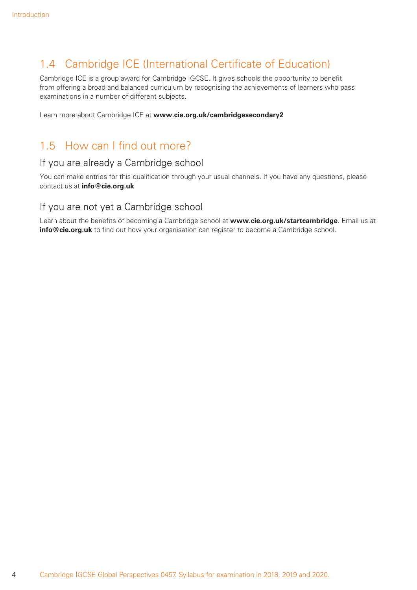## 1.4 Cambridge ICE (International Certificate of Education)

Cambridge ICE is a group award for Cambridge IGCSE. It gives schools the opportunity to benefit from offering a broad and balanced curriculum by recognising the achievements of learners who pass examinations in a number of different subjects.

Learn more about Cambridge ICE at **www.cie.org.uk/cambridgesecondary2**

## 1.5 How can I find out more?

### If you are already a Cambridge school

You can make entries for this qualification through your usual channels. If you have any questions, please contact us at **info@cie.org.uk**

### If you are not yet a Cambridge school

Learn about the benefits of becoming a Cambridge school at www.cie.org.uk/startcambridge. Email us at info@cie.org.uk to find out how your organisation can register to become a Cambridge school.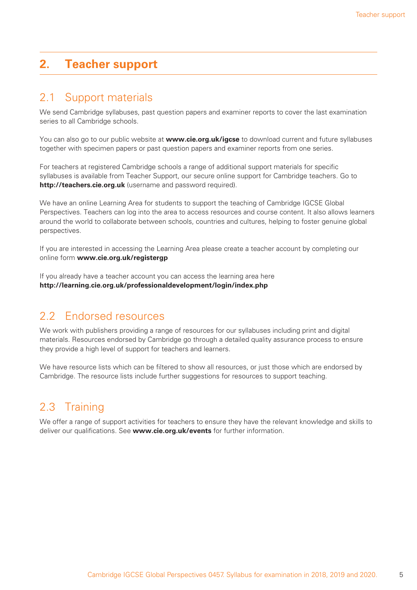## **2. Teacher support**

## 2.1 Support materials

We send Cambridge syllabuses, past question papers and examiner reports to cover the last examination series to all Cambridge schools.

You can also go to our public website at **www.cie.org.uk/igcse** to download current and future syllabuses together with specimen papers or past question papers and examiner reports from one series.

For teachers at registered Cambridge schools a range of additional support materials for specific syllabuses is available from Teacher Support, our secure online support for Cambridge teachers. Go to **http://teachers.cie.org.uk** (username and password required).

We have an online Learning Area for students to support the teaching of Cambridge IGCSE Global Perspectives. Teachers can log into the area to access resources and course content. It also allows learners around the world to collaborate between schools, countries and cultures, helping to foster genuine global perspectives.

If you are interested in accessing the Learning Area please create a teacher account by completing our online form **www.cie.org.uk/registergp**

If you already have a teacher account you can access the learning area here **http://learning.cie.org.uk/professionaldevelopment/login/index.php**

## 2.2 Endorsed resources

We work with publishers providing a range of resources for our syllabuses including print and digital materials. Resources endorsed by Cambridge go through a detailed quality assurance process to ensure they provide a high level of support for teachers and learners.

We have resource lists which can be filtered to show all resources, or just those which are endorsed by Cambridge. The resource lists include further suggestions for resources to support teaching.

## 2.3 Training

We offer a range of support activities for teachers to ensure they have the relevant knowledge and skills to deliver our qualifications. See **www.cie.org.uk/events** for further information.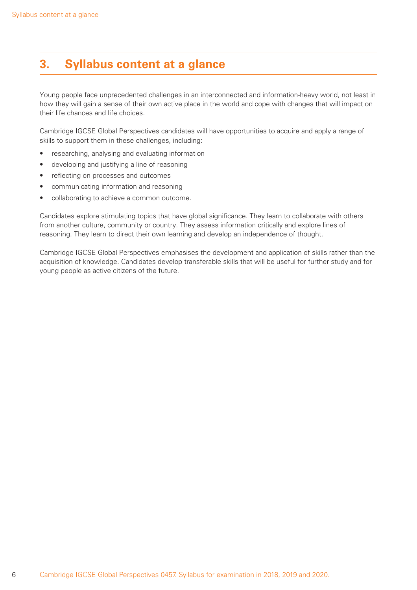## **3. Syllabus content at a glance**

Young people face unprecedented challenges in an interconnected and information-heavy world, not least in how they will gain a sense of their own active place in the world and cope with changes that will impact on their life chances and life choices.

Cambridge IGCSE Global Perspectives candidates will have opportunities to acquire and apply a range of skills to support them in these challenges, including:

- researching, analysing and evaluating information
- developing and justifying a line of reasoning
- reflecting on processes and outcomes
- communicating information and reasoning
- collaborating to achieve a common outcome.

Candidates explore stimulating topics that have global significance. They learn to collaborate with others from another culture, community or country. They assess information critically and explore lines of reasoning. They learn to direct their own learning and develop an independence of thought.

Cambridge IGCSE Global Perspectives emphasises the development and application of skills rather than the acquisition of knowledge. Candidates develop transferable skills that will be useful for further study and for young people as active citizens of the future.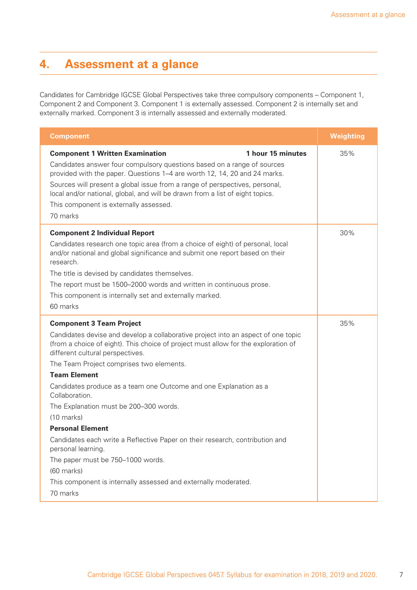## **4. Assessment at a glance**

Candidates for Cambridge IGCSE Global Perspectives take three compulsory components – Component 1, Component 2 and Component 3. Component 1 is externally assessed. Component 2 is internally set and externally marked. Component 3 is internally assessed and externally moderated.

| <b>Component</b>                                                                                                                                                                                                                                                                                                                                                                                                                                                                                                                                                                                                                                                                                                                              | <b>Weighting</b> |
|-----------------------------------------------------------------------------------------------------------------------------------------------------------------------------------------------------------------------------------------------------------------------------------------------------------------------------------------------------------------------------------------------------------------------------------------------------------------------------------------------------------------------------------------------------------------------------------------------------------------------------------------------------------------------------------------------------------------------------------------------|------------------|
| <b>Component 1 Written Examination</b><br>1 hour 15 minutes<br>Candidates answer four compulsory questions based on a range of sources<br>provided with the paper. Questions 1–4 are worth 12, 14, 20 and 24 marks.<br>Sources will present a global issue from a range of perspectives, personal,<br>local and/or national, global, and will be drawn from a list of eight topics.<br>This component is externally assessed.<br>70 marks                                                                                                                                                                                                                                                                                                     | 35%              |
| <b>Component 2 Individual Report</b><br>Candidates research one topic area (from a choice of eight) of personal, local<br>and/or national and global significance and submit one report based on their<br>research.<br>The title is devised by candidates themselves.<br>The report must be 1500–2000 words and written in continuous prose.<br>This component is internally set and externally marked.<br>60 marks                                                                                                                                                                                                                                                                                                                           | 30%              |
| <b>Component 3 Team Project</b><br>Candidates devise and develop a collaborative project into an aspect of one topic<br>(from a choice of eight). This choice of project must allow for the exploration of<br>different cultural perspectives.<br>The Team Project comprises two elements.<br><b>Team Element</b><br>Candidates produce as a team one Outcome and one Explanation as a<br>Collaboration.<br>The Explanation must be 200-300 words.<br>$(10 \text{ marks})$<br><b>Personal Element</b><br>Candidates each write a Reflective Paper on their research, contribution and<br>personal learning.<br>The paper must be 750-1000 words.<br>(60 marks)<br>This component is internally assessed and externally moderated.<br>70 marks | 35%              |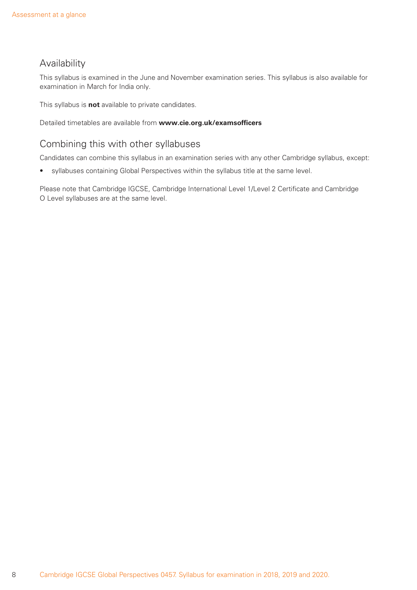## Availability

This syllabus is examined in the June and November examination series. This syllabus is also available for examination in March for India only.

This syllabus is **not** available to private candidates.

Detailed timetables are available from www.cie.org.uk/examsofficers

## Combining this with other syllabuses

Candidates can combine this syllabus in an examination series with any other Cambridge syllabus, except:

• syllabuses containing Global Perspectives within the syllabus title at the same level.

Please note that Cambridge IGCSE, Cambridge International Level 1/Level 2 Certificate and Cambridge O Level syllabuses are at the same level.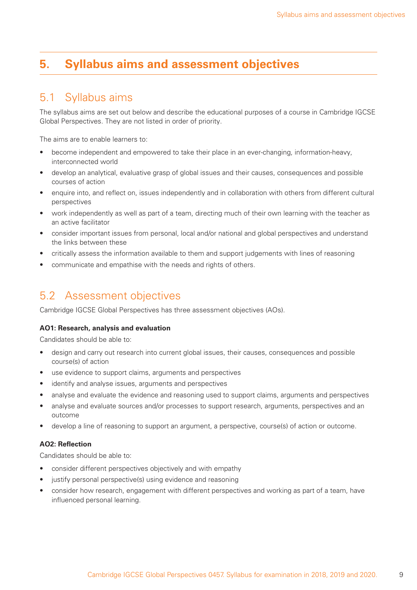## **5. Syllabus aims and assessment objectives**

## 5.1 Syllabus aims

The syllabus aims are set out below and describe the educational purposes of a course in Cambridge IGCSE Global Perspectives. They are not listed in order of priority.

The aims are to enable learners to:

- become independent and empowered to take their place in an ever-changing, information-heavy, interconnected world
- develop an analytical, evaluative grasp of global issues and their causes, consequences and possible courses of action
- enquire into, and reflect on, issues independently and in collaboration with others from different cultural perspectives
- work independently as well as part of a team, directing much of their own learning with the teacher as an active facilitator
- consider important issues from personal, local and/or national and global perspectives and understand the links between these
- critically assess the information available to them and support judgements with lines of reasoning
- communicate and empathise with the needs and rights of others.

## 5.2 Assessment objectives

Cambridge IGCSE Global Perspectives has three assessment objectives (AOs).

#### **AO1: Research, analysis and evaluation**

Candidates should be able to:

- design and carry out research into current global issues, their causes, consequences and possible course(s) of action
- use evidence to support claims, arguments and perspectives
- identify and analyse issues, arguments and perspectives
- analyse and evaluate the evidence and reasoning used to support claims, arguments and perspectives
- analyse and evaluate sources and/or processes to support research, arguments, perspectives and an outcome
- develop a line of reasoning to support an argument, a perspective, course(s) of action or outcome.

#### AO2: Reflection

Candidates should be able to:

- consider different perspectives objectively and with empathy
- justify personal perspective(s) using evidence and reasoning
- consider how research, engagement with different perspectives and working as part of a team, have influenced personal learning.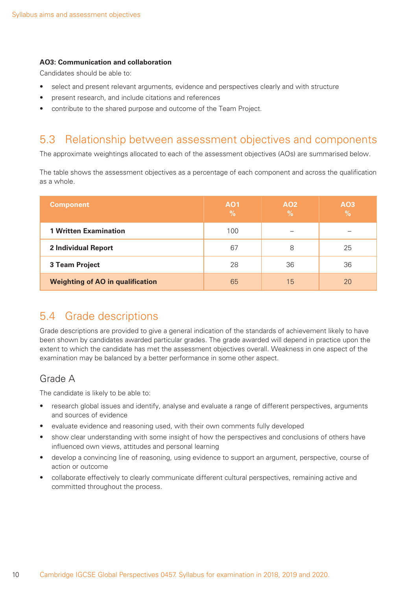#### **AO3: Communication and collaboration**

Candidates should be able to:

- select and present relevant arguments, evidence and perspectives clearly and with structure
- present research, and include citations and references
- contribute to the shared purpose and outcome of the Team Project.

## 5.3 Relationship between assessment objectives and components

The approximate weightings allocated to each of the assessment objectives (AOs) are summarised below.

The table shows the assessment objectives as a percentage of each component and across the qualification as a whole.

| <b>Component</b>                        | AO <sub>1</sub><br>$\%$ | A02<br>$\frac{9}{6}$ | A03<br>$\frac{9}{6}$ |
|-----------------------------------------|-------------------------|----------------------|----------------------|
| <b>1 Written Examination</b>            | 100                     |                      | -                    |
| <b>2 Individual Report</b>              | 67                      | 8                    | 25                   |
| 3 Team Project                          | 28                      | 36                   | 36                   |
| <b>Weighting of AO in qualification</b> | 65                      | 15                   | 20                   |

## 5.4 Grade descriptions

Grade descriptions are provided to give a general indication of the standards of achievement likely to have been shown by candidates awarded particular grades. The grade awarded will depend in practice upon the extent to which the candidate has met the assessment objectives overall. Weakness in one aspect of the examination may be balanced by a better performance in some other aspect.

## Grade A

The candidate is likely to be able to:

- research global issues and identify, analyse and evaluate a range of different perspectives, arguments and sources of evidence
- evaluate evidence and reasoning used, with their own comments fully developed
- show clear understanding with some insight of how the perspectives and conclusions of others have influenced own views, attitudes and personal learning
- develop a convincing line of reasoning, using evidence to support an argument, perspective, course of action or outcome
- collaborate effectively to clearly communicate different cultural perspectives, remaining active and committed throughout the process.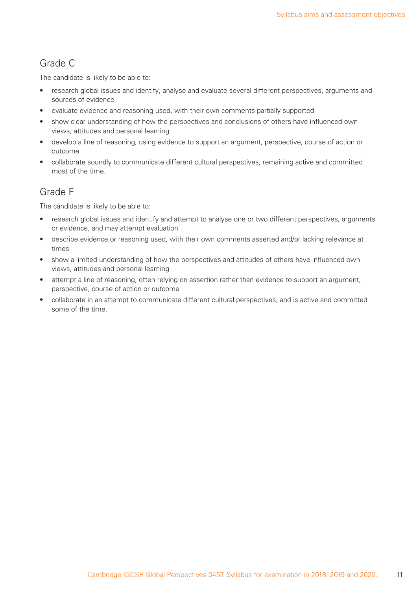## Grade C

The candidate is likely to be able to:

- research global issues and identify, analyse and evaluate several different perspectives, arguments and sources of evidence
- evaluate evidence and reasoning used, with their own comments partially supported
- show clear understanding of how the perspectives and conclusions of others have influenced own views, attitudes and personal learning
- develop a line of reasoning, using evidence to support an argument, perspective, course of action or outcome
- collaborate soundly to communicate different cultural perspectives, remaining active and committed most of the time.

## Grade F

The candidate is likely to be able to:

- research global issues and identify and attempt to analyse one or two different perspectives, arguments or evidence, and may attempt evaluation
- describe evidence or reasoning used, with their own comments asserted and/or lacking relevance at times
- show a limited understanding of how the perspectives and attitudes of others have influenced own views, attitudes and personal learning
- attempt a line of reasoning, often relying on assertion rather than evidence to support an argument, perspective, course of action or outcome
- collaborate in an attempt to communicate different cultural perspectives, and is active and committed some of the time.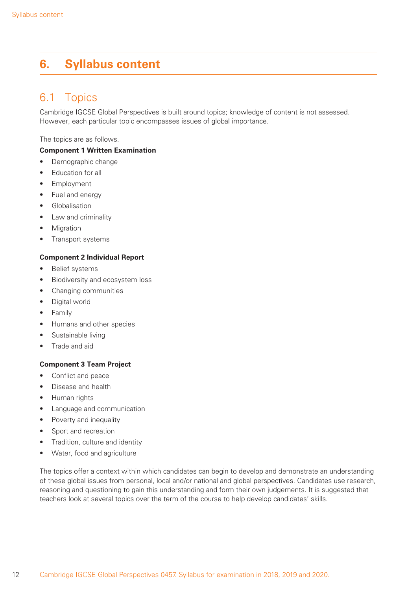## **6. Syllabus content**

## 6.1 Topics

Cambridge IGCSE Global Perspectives is built around topics; knowledge of content is not assessed. However, each particular topic encompasses issues of global importance.

The topics are as follows.

### **Component 1 Written Examination**

- Demographic change
- Education for all
- Employment
- Fuel and energy
- Globalisation
- Law and criminality
- **Migration**
- Transport systems

#### **Component 2 Individual Report**

- Belief systems
- Biodiversity and ecosystem loss
- Changing communities
- Digital world
- Family
- Humans and other species
- Sustainable living
- Trade and aid

#### **Component 3 Team Project**

- Conflict and peace
- Disease and health
- Human rights
- Language and communication
- Poverty and inequality
- Sport and recreation
- Tradition, culture and identity
- Water, food and agriculture

The topics offer a context within which candidates can begin to develop and demonstrate an understanding of these global issues from personal, local and/or national and global perspectives. Candidates use research, reasoning and questioning to gain this understanding and form their own judgements. It is suggested that teachers look at several topics over the term of the course to help develop candidates' skills.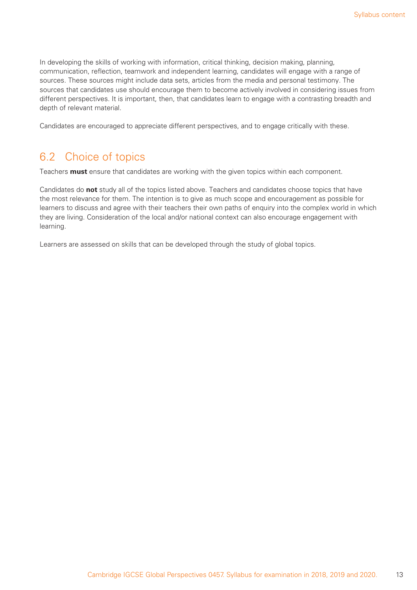In developing the skills of working with information, critical thinking, decision making, planning, communication, reflection, teamwork and independent learning, candidates will engage with a range of sources. These sources might include data sets, articles from the media and personal testimony. The sources that candidates use should encourage them to become actively involved in considering issues from different perspectives. It is important, then, that candidates learn to engage with a contrasting breadth and depth of relevant material.

Candidates are encouraged to appreciate different perspectives, and to engage critically with these.

## 6.2 Choice of topics

Teachers **must** ensure that candidates are working with the given topics within each component.

Candidates do **not** study all of the topics listed above. Teachers and candidates choose topics that have the most relevance for them. The intention is to give as much scope and encouragement as possible for learners to discuss and agree with their teachers their own paths of enquiry into the complex world in which they are living. Consideration of the local and/or national context can also encourage engagement with learning.

Learners are assessed on skills that can be developed through the study of global topics.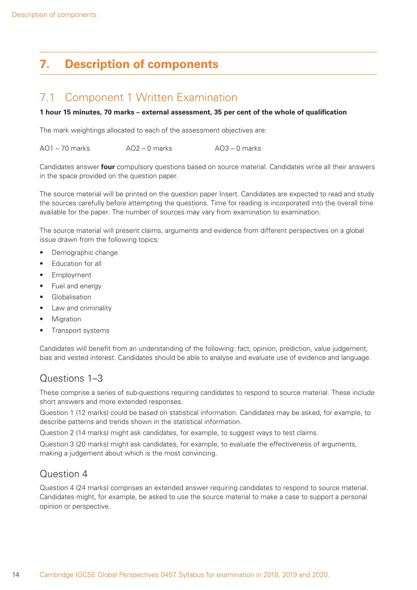## **7. Description of components**

## 7.1 Component 1 Written Examination

#### 1 hour 15 minutes, 70 marks – external assessment, 35 per cent of the whole of qualification

The mark weightings allocated to each of the assessment objectives are:

AO1 – 70 marks AO2 – 0 marks AO3 – 0 marks

Candidates answer **four** compulsory questions based on source material. Candidates write all their answers in the space provided on the question paper.

The source material will be printed on the question paper Insert. Candidates are expected to read and study the sources carefully before attempting the questions. Time for reading is incorporated into the overall time available for the paper. The number of sources may vary from examination to examination.

The source material will present claims, arguments and evidence from different perspectives on a global issue drawn from the following topics:

- Demographic change
- Education for all
- **Employment**
- Fuel and energy
- **Globalisation**
- Law and criminality
- **Migration**
- Transport systems

Candidates will benefit from an understanding of the following: fact, opinion, prediction, value judgement, bias and vested interest. Candidates should be able to analyse and evaluate use of evidence and language.

## Questions 1–3

These comprise a series of sub-questions requiring candidates to respond to source material. These include short answers and more extended responses.

Question 1 (12 marks) could be based on statistical information. Candidates may be asked, for example, to describe patterns and trends shown in the statistical information.

Question 2 (14 marks) might ask candidates, for example, to suggest ways to test claims.

Question 3 (20 marks) might ask candidates, for example, to evaluate the effectiveness of arguments, making a judgement about which is the most convincing.

## Question 4

Question 4 (24 marks) comprises an extended answer requiring candidates to respond to source material. Candidates might, for example, be asked to use the source material to make a case to support a personal opinion or perspective.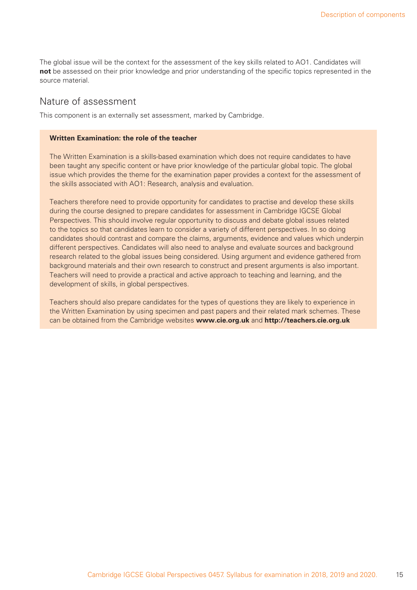The global issue will be the context for the assessment of the key skills related to AO1. Candidates will **not** be assessed on their prior knowledge and prior understanding of the specific topics represented in the source material.

### Nature of assessment

This component is an externally set assessment, marked by Cambridge.

#### **Written Examination: the role of the teacher**

The Written Examination is a skills-based examination which does not require candidates to have been taught any specific content or have prior knowledge of the particular global topic. The global issue which provides the theme for the examination paper provides a context for the assessment of the skills associated with AO1: Research, analysis and evaluation.

Teachers therefore need to provide opportunity for candidates to practise and develop these skills during the course designed to prepare candidates for assessment in Cambridge IGCSE Global Perspectives. This should involve regular opportunity to discuss and debate global issues related to the topics so that candidates learn to consider a variety of different perspectives. In so doing candidates should contrast and compare the claims, arguments, evidence and values which underpin different perspectives. Candidates will also need to analyse and evaluate sources and background research related to the global issues being considered. Using argument and evidence gathered from background materials and their own research to construct and present arguments is also important. Teachers will need to provide a practical and active approach to teaching and learning, and the development of skills, in global perspectives.

Teachers should also prepare candidates for the types of questions they are likely to experience in the Written Examination by using specimen and past papers and their related mark schemes. These can be obtained from the Cambridge websites **www.cie.org.uk** and **http://teachers.cie.org.uk**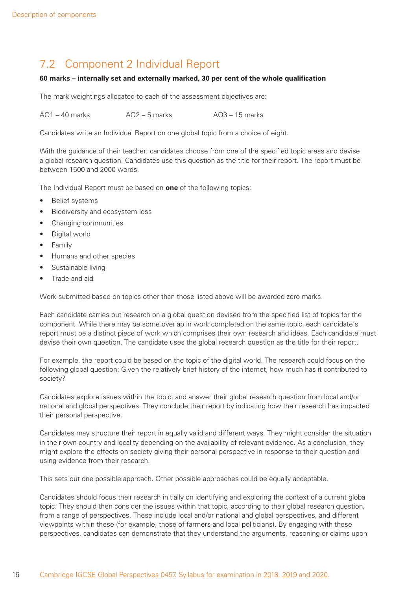## 7.2 Component 2 Individual Report

#### 60 marks – internally set and externally marked, 30 per cent of the whole qualification

The mark weightings allocated to each of the assessment objectives are:

 $AO1 - AO$  marks  $AO2 - 5$  marks  $AO3 - 15$  marks

Candidates write an Individual Report on one global topic from a choice of eight.

With the guidance of their teacher, candidates choose from one of the specified topic areas and devise a global research question. Candidates use this question as the title for their report. The report must be between 1500 and 2000 words.

The Individual Report must be based on **one** of the following topics:

- Belief systems
- Biodiversity and ecosystem loss
- Changing communities
- Digital world
- Family
- Humans and other species
- Sustainable living
- Trade and aid

Work submitted based on topics other than those listed above will be awarded zero marks.

Each candidate carries out research on a global question devised from the specified list of topics for the component. While there may be some overlap in work completed on the same topic, each candidate's report must be a distinct piece of work which comprises their own research and ideas. Each candidate must devise their own question. The candidate uses the global research question as the title for their report.

For example, the report could be based on the topic of the digital world. The research could focus on the following global question: Given the relatively brief history of the internet, how much has it contributed to society?

Candidates explore issues within the topic, and answer their global research question from local and/or national and global perspectives. They conclude their report by indicating how their research has impacted their personal perspective.

Candidates may structure their report in equally valid and different ways. They might consider the situation in their own country and locality depending on the availability of relevant evidence. As a conclusion, they might explore the effects on society giving their personal perspective in response to their question and using evidence from their research.

This sets out one possible approach. Other possible approaches could be equally acceptable.

Candidates should focus their research initially on identifying and exploring the context of a current global topic. They should then consider the issues within that topic, according to their global research question, from a range of perspectives. These include local and/or national and global perspectives, and different viewpoints within these (for example, those of farmers and local politicians). By engaging with these perspectives, candidates can demonstrate that they understand the arguments, reasoning or claims upon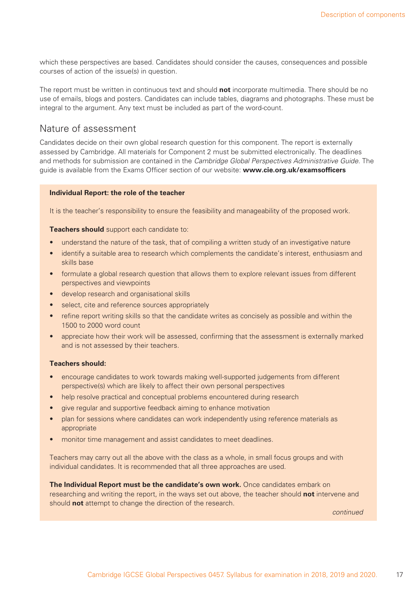which these perspectives are based. Candidates should consider the causes, consequences and possible courses of action of the issue(s) in question.

The report must be written in continuous text and should **not** incorporate multimedia. There should be no use of emails, blogs and posters. Candidates can include tables, diagrams and photographs. These must be integral to the argument. Any text must be included as part of the word-count.

### Nature of assessment

Candidates decide on their own global research question for this component. The report is externally assessed by Cambridge. All materials for Component 2 must be submitted electronically. The deadlines and methods for submission are contained in the Cambridge Global Perspectives Administrative Guide. The guide is available from the Exams Officer section of our website: **www.cie.org.uk/examsofficers** 

#### **Individual Report: the role of the teacher**

It is the teacher's responsibility to ensure the feasibility and manageability of the proposed work.

**Teachers should** support each candidate to:

- understand the nature of the task, that of compiling a written study of an investigative nature
- identify a suitable area to research which complements the candidate's interest, enthusiasm and skills base
- formulate a global research question that allows them to explore relevant issues from different perspectives and viewpoints
- develop research and organisational skills
- select, cite and reference sources appropriately
- refine report writing skills so that the candidate writes as concisely as possible and within the 1500 to 2000 word count
- appreciate how their work will be assessed, confirming that the assessment is externally marked and is not assessed by their teachers.

#### **Teachers should:**

- encourage candidates to work towards making well-supported judgements from different perspective(s) which are likely to affect their own personal perspectives
- help resolve practical and conceptual problems encountered during research
- give regular and supportive feedback aiming to enhance motivation
- plan for sessions where candidates can work independently using reference materials as appropriate
- monitor time management and assist candidates to meet deadlines.

Teachers may carry out all the above with the class as a whole, in small focus groups and with individual candidates. It is recommended that all three approaches are used.

**The Individual Report must be the candidate's own work.** Once candidates embark on researching and writing the report, in the ways set out above, the teacher should **not** intervene and should **not** attempt to change the direction of the research.

continued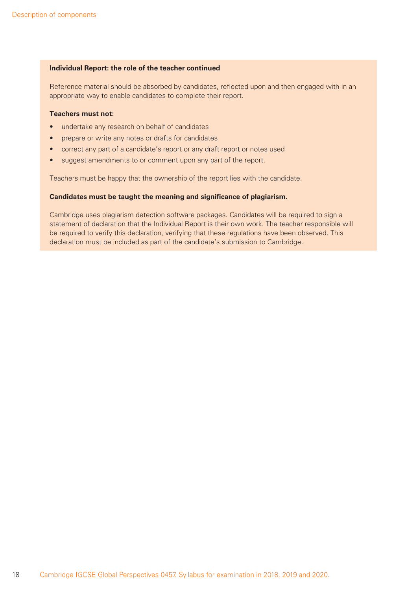#### **Individual Report: the role of the teacher continued**

Reference material should be absorbed by candidates, reflected upon and then engaged with in an appropriate way to enable candidates to complete their report.

#### **Teachers must not:**

- undertake any research on behalf of candidates
- prepare or write any notes or drafts for candidates
- correct any part of a candidate's report or any draft report or notes used
- suggest amendments to or comment upon any part of the report.

Teachers must be happy that the ownership of the report lies with the candidate.

#### **Candidates must be taught the meaning and significance of plagiarism.**

Cambridge uses plagiarism detection software packages. Candidates will be required to sign a statement of declaration that the Individual Report is their own work. The teacher responsible will be required to verify this declaration, verifying that these regulations have been observed. This declaration must be included as part of the candidate's submission to Cambridge.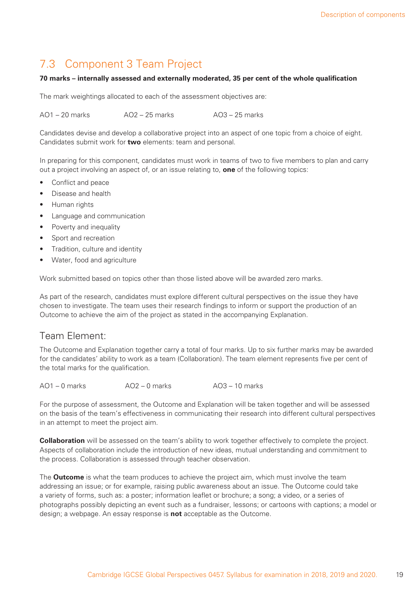## 7.3 Component 3 Team Project

#### 70 marks – internally assessed and externally moderated, 35 per cent of the whole qualification

The mark weightings allocated to each of the assessment objectives are:

 $AO1 = 20$  marks  $AO2 = 25$  marks  $AO3 = 25$  marks

Candidates devise and develop a collaborative project into an aspect of one topic from a choice of eight. Candidates submit work for **two** elements: team and personal.

In preparing for this component, candidates must work in teams of two to five members to plan and carry out a project involving an aspect of, or an issue relating to, **one** of the following topics:

- Conflict and peace
- Disease and health
- Human rights
- Language and communication
- Poverty and inequality
- Sport and recreation
- Tradition, culture and identity
- Water, food and agriculture

Work submitted based on topics other than those listed above will be awarded zero marks.

As part of the research, candidates must explore different cultural perspectives on the issue they have chosen to investigate. The team uses their research findings to inform or support the production of an Outcome to achieve the aim of the project as stated in the accompanying Explanation.

## Team Element:

The Outcome and Explanation together carry a total of four marks. Up to six further marks may be awarded for the candidates' ability to work as a team (Collaboration). The team element represents five per cent of the total marks for the qualification.

AO1 – 0 marks AO2 – 0 marks AO3 – 10 marks

For the purpose of assessment, the Outcome and Explanation will be taken together and will be assessed on the basis of the team's effectiveness in communicating their research into different cultural perspectives in an attempt to meet the project aim.

**Collaboration** will be assessed on the team's ability to work together effectively to complete the project. Aspects of collaboration include the introduction of new ideas, mutual understanding and commitment to the process. Collaboration is assessed through teacher observation.

The **Outcome** is what the team produces to achieve the project aim, which must involve the team addressing an issue; or for example, raising public awareness about an issue. The Outcome could take a variety of forms, such as: a poster; information leaflet or brochure; a song; a video, or a series of photographs possibly depicting an event such as a fundraiser, lessons; or cartoons with captions; a model or design; a webpage. An essay response is **not** acceptable as the Outcome.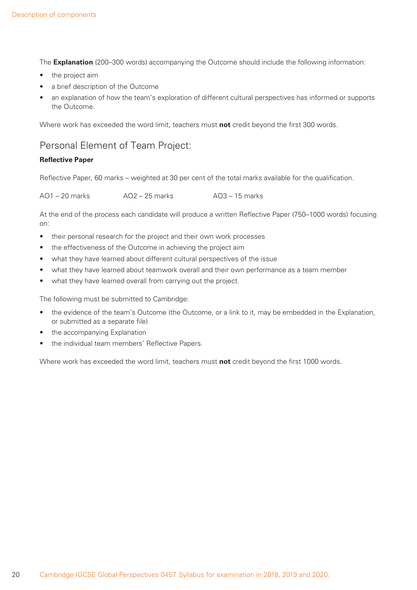The **Explanation** (200–300 words) accompanying the Outcome should include the following information:

- the project aim
- a brief description of the Outcome
- an explanation of how the team's exploration of different cultural perspectives has informed or supports the Outcome.

Where work has exceeded the word limit, teachers must not credit beyond the first 300 words.

## Personal Element of Team Project:

### **Reflective Paper**

Reflective Paper, 60 marks – weighted at 30 per cent of the total marks available for the qualification.

| $AO1 - 20$ marks | $AO2 - 25$ marks | $AO3 - 15$ marks |
|------------------|------------------|------------------|
|------------------|------------------|------------------|

At the end of the process each candidate will produce a written Reflective Paper (750–1000 words) focusing on:

- their personal research for the project and their own work processes
- the effectiveness of the Outcome in achieving the project aim
- what they have learned about different cultural perspectives of the issue
- what they have learned about teamwork overall and their own performance as a team member
- what they have learned overall from carrying out the project.

The following must be submitted to Cambridge:

- the evidence of the team's Outcome (the Outcome, or a link to it, may be embedded in the Explanation, or submitted as a separate file)
- the accompanying Explanation
- the individual team members' Reflective Papers.

Where work has exceeded the word limit, teachers must not credit beyond the first 1000 words.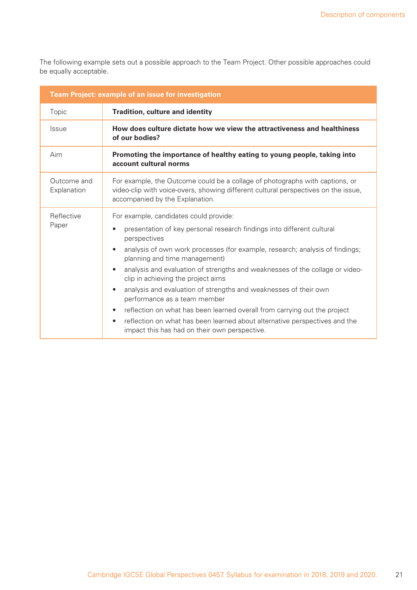The following example sets out a possible approach to the Team Project. Other possible approaches could be equally acceptable.

| Team Project: example of an issue for investigation                                                      |                                                                                                                                                                                                                                                                                                                                                                                                                                                                                                                                                                                                                                                                                                                                                                       |  |  |  |  |  |
|----------------------------------------------------------------------------------------------------------|-----------------------------------------------------------------------------------------------------------------------------------------------------------------------------------------------------------------------------------------------------------------------------------------------------------------------------------------------------------------------------------------------------------------------------------------------------------------------------------------------------------------------------------------------------------------------------------------------------------------------------------------------------------------------------------------------------------------------------------------------------------------------|--|--|--|--|--|
| Topic                                                                                                    | <b>Tradition, culture and identity</b>                                                                                                                                                                                                                                                                                                                                                                                                                                                                                                                                                                                                                                                                                                                                |  |  |  |  |  |
| <b>Issue</b>                                                                                             | How does culture dictate how we view the attractiveness and healthiness<br>of our bodies?                                                                                                                                                                                                                                                                                                                                                                                                                                                                                                                                                                                                                                                                             |  |  |  |  |  |
| Aim<br>Promoting the importance of healthy eating to young people, taking into<br>account cultural norms |                                                                                                                                                                                                                                                                                                                                                                                                                                                                                                                                                                                                                                                                                                                                                                       |  |  |  |  |  |
| Outcome and<br>Explanation                                                                               | For example, the Outcome could be a collage of photographs with captions, or<br>video-clip with voice-overs, showing different cultural perspectives on the issue,<br>accompanied by the Explanation.                                                                                                                                                                                                                                                                                                                                                                                                                                                                                                                                                                 |  |  |  |  |  |
| Reflective<br>Paper                                                                                      | For example, candidates could provide:<br>presentation of key personal research findings into different cultural<br>$\bullet$<br>perspectives<br>analysis of own work processes (for example, research; analysis of findings;<br>$\bullet$<br>planning and time management)<br>analysis and evaluation of strengths and weaknesses of the collage or video-<br>$\bullet$<br>clip in achieving the project aims<br>analysis and evaluation of strengths and weaknesses of their own<br>$\bullet$<br>performance as a team member<br>reflection on what has been learned overall from carrying out the project<br>$\bullet$<br>reflection on what has been learned about alternative perspectives and the<br>$\bullet$<br>impact this has had on their own perspective. |  |  |  |  |  |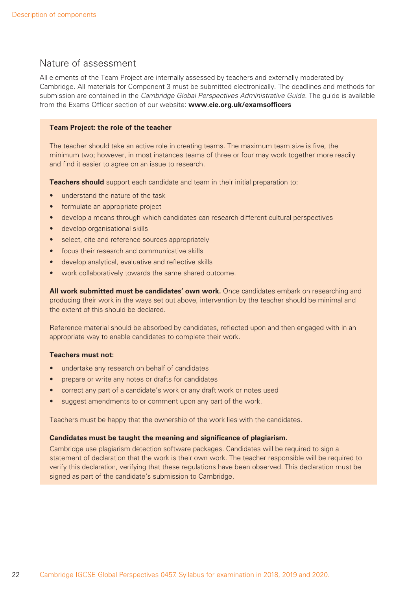### Nature of assessment

All elements of the Team Project are internally assessed by teachers and externally moderated by Cambridge. All materials for Component 3 must be submitted electronically. The deadlines and methods for submission are contained in the Cambridge Global Perspectives Administrative Guide. The guide is available from the Exams Officer section of our website: **www.cie.org.uk/examsofficers** 

#### **Team Project: the role of the teacher**

The teacher should take an active role in creating teams. The maximum team size is five, the minimum two; however, in most instances teams of three or four may work together more readily and find it easier to agree on an issue to research.

**Teachers should** support each candidate and team in their initial preparation to:

- understand the nature of the task
- formulate an appropriate project
- develop a means through which candidates can research different cultural perspectives
- develop organisational skills
- select, cite and reference sources appropriately
- focus their research and communicative skills
- develop analytical, evaluative and reflective skills
- work collaboratively towards the same shared outcome.

**All work submitted must be candidates' own work.** Once candidates embark on researching and producing their work in the ways set out above, intervention by the teacher should be minimal and the extent of this should be declared.

Reference material should be absorbed by candidates, reflected upon and then engaged with in an appropriate way to enable candidates to complete their work.

#### **Teachers must not:**

- undertake any research on behalf of candidates
- prepare or write any notes or drafts for candidates
- correct any part of a candidate's work or any draft work or notes used
- suggest amendments to or comment upon any part of the work.

Teachers must be happy that the ownership of the work lies with the candidates.

#### **Candidates must be taught the meaning and significance of plagiarism.**

Cambridge use plagiarism detection software packages. Candidates will be required to sign a statement of declaration that the work is their own work. The teacher responsible will be required to verify this declaration, verifying that these regulations have been observed. This declaration must be signed as part of the candidate's submission to Cambridge.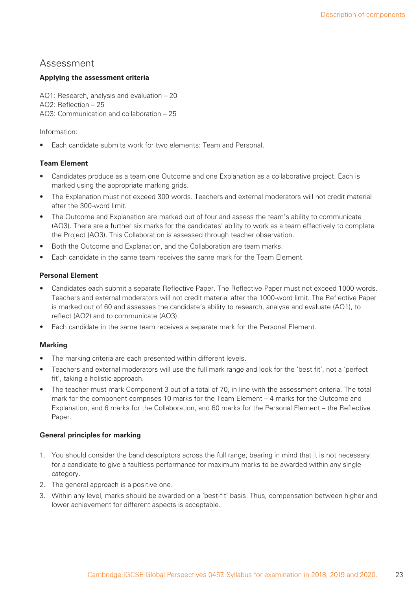### Assessment

### **Applying the assessment criteria**

AO1: Research, analysis and evaluation – 20 AO2: Reflection  $-25$ AO3: Communication and collaboration – 25

Information:

• Each candidate submits work for two elements: Team and Personal.

### **Team Element**

- Candidates produce as a team one Outcome and one Explanation as a collaborative project. Each is marked using the appropriate marking grids.
- The Explanation must not exceed 300 words. Teachers and external moderators will not credit material after the 300-word limit.
- The Outcome and Explanation are marked out of four and assess the team's ability to communicate (AO3). There are a further six marks for the candidates' ability to work as a team effectively to complete the Project (AO3). This Collaboration is assessed through teacher observation.
- Both the Outcome and Explanation, and the Collaboration are team marks.
- Each candidate in the same team receives the same mark for the Team Element.

### **Personal Element**

- Candidates each submit a separate Reflective Paper. The Reflective Paper must not exceed 1000 words. Teachers and external moderators will not credit material after the 1000-word limit. The Reflective Paper is marked out of 60 and assesses the candidate's ability to research, analyse and evaluate (AO1), to reflect (AO2) and to communicate (AO3).
- Each candidate in the same team receives a separate mark for the Personal Element.

#### **Marking**

- The marking criteria are each presented within different levels.
- Teachers and external moderators will use the full mark range and look for the 'best fit', not a 'perfect fit', taking a holistic approach.
- The teacher must mark Component 3 out of a total of 70, in line with the assessment criteria. The total mark for the component comprises 10 marks for the Team Element – 4 marks for the Outcome and Explanation, and 6 marks for the Collaboration, and 60 marks for the Personal Element – the Reflective Paper.

#### **General principles for marking**

- 1. You should consider the band descriptors across the full range, bearing in mind that it is not necessary for a candidate to give a faultless performance for maximum marks to be awarded within any single category.
- 2. The general approach is a positive one.
- 3. Within any level, marks should be awarded on a 'best-fit' basis. Thus, compensation between higher and lower achievement for different aspects is acceptable.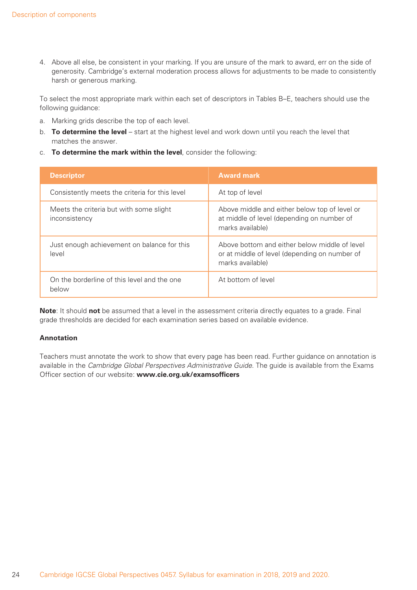4. Above all else, be consistent in your marking. If you are unsure of the mark to award, err on the side of generosity. Cambridge's external moderation process allows for adjustments to be made to consistently harsh or generous marking.

To select the most appropriate mark within each set of descriptors in Tables B–E, teachers should use the following guidance:

- a. Marking grids describe the top of each level.
- b. **To determine the level** start at the highest level and work down until you reach the level that matches the answer.
- c. **To determine the mark within the level**, consider the following:

| <b>Descriptor</b>                                        | <b>Award mark</b>                                                                                                  |
|----------------------------------------------------------|--------------------------------------------------------------------------------------------------------------------|
| Consistently meets the criteria for this level           | At top of level                                                                                                    |
| Meets the criteria but with some slight<br>inconsistency | Above middle and either below top of level or<br>at middle of level (depending on number of<br>marks available)    |
| Just enough achievement on balance for this<br>level     | Above bottom and either below middle of level<br>or at middle of level (depending on number of<br>marks available) |
| On the borderline of this level and the one<br>below     | At bottom of level                                                                                                 |

**Note**: It should **not** be assumed that a level in the assessment criteria directly equates to a grade. Final grade thresholds are decided for each examination series based on available evidence.

#### **Annotation**

Teachers must annotate the work to show that every page has been read. Further guidance on annotation is available in the Cambridge Global Perspectives Administrative Guide. The guide is available from the Exams Officer section of our website: www.cie.org.uk/examsofficers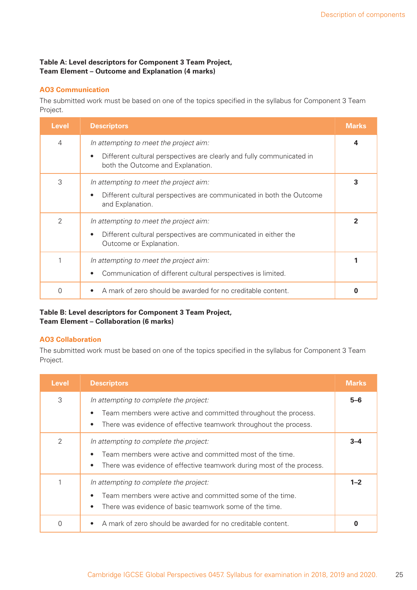### **Table A: Level descriptors for Component 3 Team Project, Team Element – Outcome and Explanation (4 marks)**

### **AO3 Communication**

The submitted work must be based on one of the topics specified in the syllabus for Component 3 Team Project.

| <b>Level</b>  | <b>Descriptors</b>                                                                                                                                                | <b>Marks</b> |
|---------------|-------------------------------------------------------------------------------------------------------------------------------------------------------------------|--------------|
| 4             | In attempting to meet the project aim:<br>Different cultural perspectives are clearly and fully communicated in<br>$\bullet$<br>both the Outcome and Explanation. | 4            |
| 3             | In attempting to meet the project aim:<br>Different cultural perspectives are communicated in both the Outcome<br>and Explanation.                                | 3            |
| $\mathcal{P}$ | In attempting to meet the project aim:<br>Different cultural perspectives are communicated in either the<br>Outcome or Explanation.                               | 2            |
|               | In attempting to meet the project aim:<br>Communication of different cultural perspectives is limited.                                                            |              |
| 0             | A mark of zero should be awarded for no creditable content.                                                                                                       |              |

### **Table B: Level descriptors for Component 3 Team Project, Team Element – Collaboration (6 marks)**

#### **AO3 Collaboration**

| <b>Level</b> | <b>Descriptors</b>                                                                                                                                                                                     | <b>Marks</b> |
|--------------|--------------------------------------------------------------------------------------------------------------------------------------------------------------------------------------------------------|--------------|
| 3            | In attempting to complete the project:<br>Team members were active and committed throughout the process.<br>$\bullet$<br>There was evidence of effective teamwork throughout the process.<br>$\bullet$ | $5 - 6$      |
| 2            | In attempting to complete the project:<br>Team members were active and committed most of the time.<br>$\bullet$<br>There was evidence of effective teamwork during most of the process.<br>$\bullet$   | 3–4          |
|              | In attempting to complete the project:<br>Team members were active and committed some of the time.<br>$\bullet$<br>There was evidence of basic teamwork some of the time.<br>$\bullet$                 | $1 - 2$      |
| 0            | A mark of zero should be awarded for no creditable content.                                                                                                                                            |              |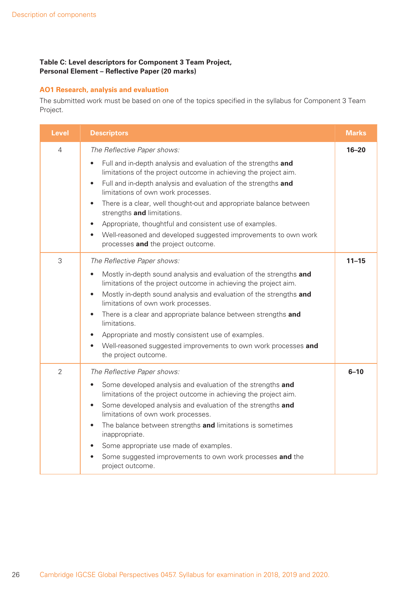### **Table C: Level descriptors for Component 3 Team Project, Personal Element - Reflective Paper (20 marks)**

### **AO1 Research, analysis and evaluation**

| <b>Level</b>   | <b>Descriptors</b>                                                                                                                                                                                                                                                                                                                                                                                                                                                                                                                                                                                                | <b>Marks</b> |
|----------------|-------------------------------------------------------------------------------------------------------------------------------------------------------------------------------------------------------------------------------------------------------------------------------------------------------------------------------------------------------------------------------------------------------------------------------------------------------------------------------------------------------------------------------------------------------------------------------------------------------------------|--------------|
| $\overline{4}$ | The Reflective Paper shows:<br>Full and in-depth analysis and evaluation of the strengths and<br>$\bullet$<br>limitations of the project outcome in achieving the project aim.<br>Full and in-depth analysis and evaluation of the strengths and<br>$\bullet$<br>limitations of own work processes.<br>There is a clear, well thought-out and appropriate balance between<br>$\bullet$<br>strengths and limitations.<br>Appropriate, thoughtful and consistent use of examples.<br>$\bullet$<br>Well-reasoned and developed suggested improvements to own work<br>$\bullet$<br>processes and the project outcome. | $16 - 20$    |
| 3              | The Reflective Paper shows:<br>Mostly in-depth sound analysis and evaluation of the strengths and<br>$\bullet$<br>limitations of the project outcome in achieving the project aim.<br>Mostly in-depth sound analysis and evaluation of the strengths and<br>$\bullet$<br>limitations of own work processes.<br>There is a clear and appropriate balance between strengths and<br>$\bullet$<br>limitations.<br>Appropriate and mostly consistent use of examples.<br>$\bullet$<br>Well-reasoned suggested improvements to own work processes and<br>$\bullet$<br>the project outcome.                              | $11 - 15$    |
| $\overline{2}$ | The Reflective Paper shows:<br>Some developed analysis and evaluation of the strengths and<br>$\bullet$<br>limitations of the project outcome in achieving the project aim.<br>Some developed analysis and evaluation of the strengths and<br>$\bullet$<br>limitations of own work processes.<br>The balance between strengths and limitations is sometimes<br>$\bullet$<br>inappropriate.<br>Some appropriate use made of examples.<br>$\bullet$<br>Some suggested improvements to own work processes and the<br>$\bullet$<br>project outcome.                                                                   | $6 - 10$     |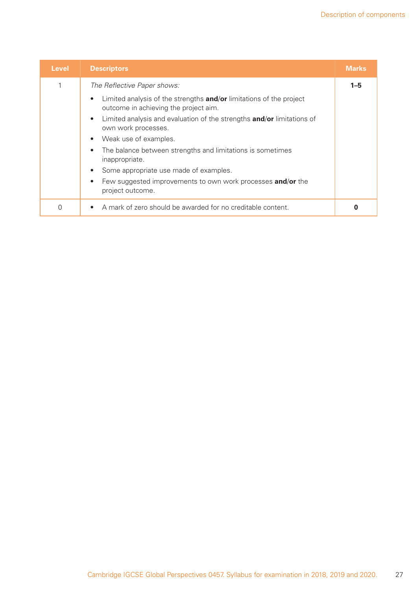| <b>Level</b> | <b>Descriptors</b>                                                                                                               | <b>Marks</b> |
|--------------|----------------------------------------------------------------------------------------------------------------------------------|--------------|
| 1            | The Reflective Paper shows:                                                                                                      | $1 - 5$      |
|              | Limited analysis of the strengths <b>and/or</b> limitations of the project<br>$\bullet$<br>outcome in achieving the project aim. |              |
|              | Limited analysis and evaluation of the strengths and/or limitations of<br>$\bullet$<br>own work processes.                       |              |
|              | Weak use of examples.<br>$\bullet$                                                                                               |              |
|              | The balance between strengths and limitations is sometimes<br>$\bullet$<br>inappropriate.                                        |              |
|              | Some appropriate use made of examples.<br>$\bullet$                                                                              |              |
|              | Few suggested improvements to own work processes and/or the<br>$\bullet$<br>project outcome.                                     |              |
| 0            | A mark of zero should be awarded for no creditable content.<br>$\bullet$                                                         |              |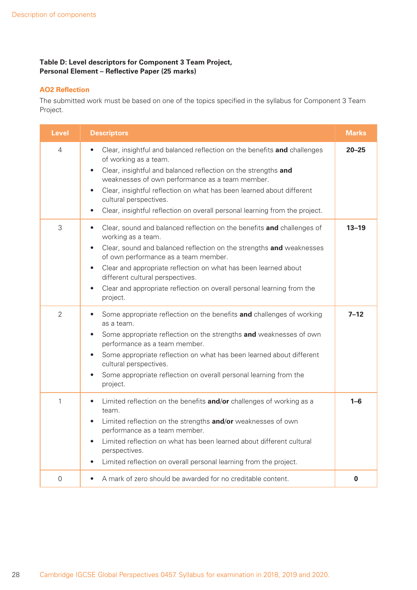### **Table D: Level descriptors for Component 3 Team Project, Personal Element - Reflective Paper (25 marks)**

### **AO2 Reflection**

| <b>Level</b>   | <b>Descriptors</b>                                                                                                                                                                                                                                                                                                                                                                                                                                            | <b>Marks</b> |
|----------------|---------------------------------------------------------------------------------------------------------------------------------------------------------------------------------------------------------------------------------------------------------------------------------------------------------------------------------------------------------------------------------------------------------------------------------------------------------------|--------------|
| $\overline{4}$ | Clear, insightful and balanced reflection on the benefits and challenges<br>$\bullet$<br>of working as a team.<br>Clear, insightful and balanced reflection on the strengths and<br>$\bullet$<br>weaknesses of own performance as a team member.<br>Clear, insightful reflection on what has been learned about different<br>$\bullet$<br>cultural perspectives.<br>Clear, insightful reflection on overall personal learning from the project.<br>$\bullet$  | $20 - 25$    |
| 3              | Clear, sound and balanced reflection on the benefits and challenges of<br>$\bullet$<br>working as a team.<br>Clear, sound and balanced reflection on the strengths and weaknesses<br>$\bullet$<br>of own performance as a team member.<br>Clear and appropriate reflection on what has been learned about<br>$\bullet$<br>different cultural perspectives.<br>Clear and appropriate reflection on overall personal learning from the<br>$\bullet$<br>project. | $13 - 19$    |
| 2              | Some appropriate reflection on the benefits and challenges of working<br>$\bullet$<br>as a team.<br>Some appropriate reflection on the strengths and weaknesses of own<br>$\bullet$<br>performance as a team member.<br>Some appropriate reflection on what has been learned about different<br>$\bullet$<br>cultural perspectives.<br>Some appropriate reflection on overall personal learning from the<br>$\bullet$<br>project.                             | $7 - 12$     |
| 1              | Limited reflection on the benefits and/or challenges of working as a<br>$\bullet$<br>team.<br>Limited reflection on the strengths and/or weaknesses of own<br>$\bullet$<br>performance as a team member.<br>Limited reflection on what has been learned about different cultural<br>$\bullet$<br>perspectives.<br>Limited reflection on overall personal learning from the project.<br>$\bullet$                                                              | $1 - 6$      |
| $\mathbf 0$    | A mark of zero should be awarded for no creditable content.<br>$\bullet$                                                                                                                                                                                                                                                                                                                                                                                      | 0            |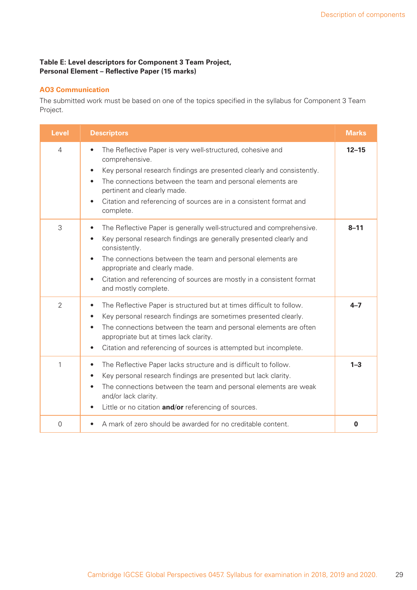### **Table E: Level descriptors for Component 3 Team Project, Personal Element - Reflective Paper (15 marks)**

### **AO3 Communication**

| <b>Level</b>   | <b>Descriptors</b>                                                                                                                                                                                                                                                                                                                                                                    | <b>Marks</b> |
|----------------|---------------------------------------------------------------------------------------------------------------------------------------------------------------------------------------------------------------------------------------------------------------------------------------------------------------------------------------------------------------------------------------|--------------|
| $\overline{4}$ | The Reflective Paper is very well-structured, cohesive and<br>$\bullet$<br>comprehensive.<br>Key personal research findings are presented clearly and consistently.<br>$\bullet$<br>The connections between the team and personal elements are<br>$\bullet$<br>pertinent and clearly made.<br>Citation and referencing of sources are in a consistent format and<br>complete.         | $12 - 15$    |
| 3              | The Reflective Paper is generally well-structured and comprehensive.<br>$\bullet$<br>Key personal research findings are generally presented clearly and<br>$\bullet$<br>consistently.<br>The connections between the team and personal elements are<br>appropriate and clearly made.<br>Citation and referencing of sources are mostly in a consistent format<br>and mostly complete. | $8 - 11$     |
| $\overline{2}$ | The Reflective Paper is structured but at times difficult to follow.<br>$\bullet$<br>Key personal research findings are sometimes presented clearly.<br>$\bullet$<br>The connections between the team and personal elements are often<br>$\bullet$<br>appropriate but at times lack clarity.<br>Citation and referencing of sources is attempted but incomplete.<br>$\bullet$         | $4 - 7$      |
| 1              | The Reflective Paper lacks structure and is difficult to follow.<br>$\bullet$<br>Key personal research findings are presented but lack clarity.<br>$\bullet$<br>The connections between the team and personal elements are weak<br>$\bullet$<br>and/or lack clarity.<br>Little or no citation and/or referencing of sources.                                                          | $1 - 3$      |
| $\mathbf 0$    | A mark of zero should be awarded for no creditable content.                                                                                                                                                                                                                                                                                                                           | $\mathbf 0$  |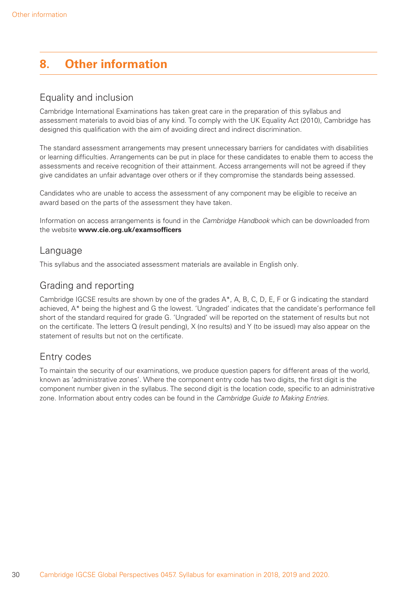## **8. Other information**

## Equality and inclusion

Cambridge International Examinations has taken great care in the preparation of this syllabus and assessment materials to avoid bias of any kind. To comply with the UK Equality Act (2010), Cambridge has designed this qualification with the aim of avoiding direct and indirect discrimination.

The standard assessment arrangements may present unnecessary barriers for candidates with disabilities or learning difficulties. Arrangements can be put in place for these candidates to enable them to access the assessments and receive recognition of their attainment. Access arrangements will not be agreed if they give candidates an unfair advantage over others or if they compromise the standards being assessed.

Candidates who are unable to access the assessment of any component may be eligible to receive an award based on the parts of the assessment they have taken.

Information on access arrangements is found in the Cambridge Handbook which can be downloaded from the website **www.cie.org.uk/examsofficers** 

### Language

This syllabus and the associated assessment materials are available in English only.

## Grading and reporting

Cambridge IGCSE results are shown by one of the grades A\*, A, B, C, D, E, F or G indicating the standard achieved, A\* being the highest and G the lowest. 'Ungraded' indicates that the candidate's performance fell short of the standard required for grade G. 'Ungraded' will be reported on the statement of results but not on the certificate. The letters  $Q$  (result pending),  $X$  (no results) and  $Y$  (to be issued) may also appear on the statement of results but not on the certificate.

## Entry codes

To maintain the security of our examinations, we produce question papers for different areas of the world, known as 'administrative zones'. Where the component entry code has two digits, the first digit is the component number given in the syllabus. The second digit is the location code, specific to an administrative zone. Information about entry codes can be found in the Cambridge Guide to Making Entries.